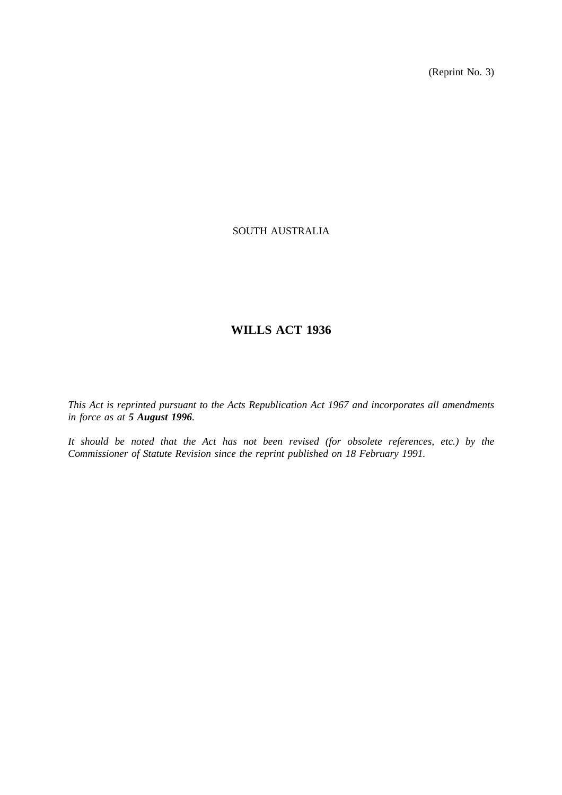(Reprint No. 3)

## SOUTH AUSTRALIA

# **WILLS ACT 1936**

*This Act is reprinted pursuant to the Acts Republication Act 1967 and incorporates all amendments in force as at 5 August 1996.*

*It should be noted that the Act has not been revised (for obsolete references, etc.) by the Commissioner of Statute Revision since the reprint published on 18 February 1991.*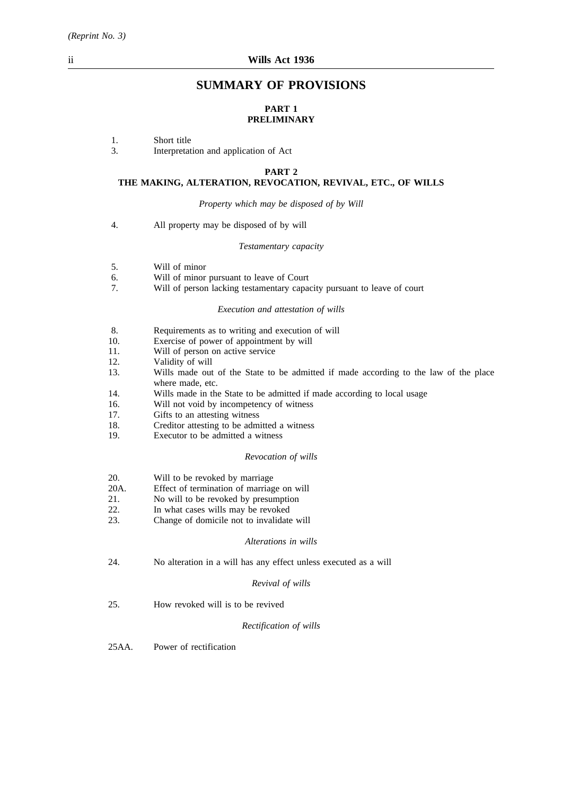## **SUMMARY OF PROVISIONS**

## **PART 1 PRELIMINARY**

- 1. Short title
- 3. Interpretation and application of Act

#### **PART 2**

#### **THE MAKING, ALTERATION, REVOCATION, REVIVAL, ETC., OF WILLS**

*Property which may be disposed of by Will*

4. All property may be disposed of by will

#### *Testamentary capacity*

- 5. Will of minor
- 6. Will of minor pursuant to leave of Court
- 7. Will of person lacking testamentary capacity pursuant to leave of court

#### *Execution and attestation of wills*

- 8. Requirements as to writing and execution of will
- 10. Exercise of power of appointment by will
- 11. Will of person on active service
- 12. Validity of will
- 13. Wills made out of the State to be admitted if made according to the law of the place where made, etc.
- 14. Wills made in the State to be admitted if made according to local usage
- 16. Will not void by incompetency of witness<br>17. Gifts to an attesting witness
- Gifts to an attesting witness
- 18. Creditor attesting to be admitted a witness
- 19. Executor to be admitted a witness

#### *Revocation of wills*

- 20. Will to be revoked by marriage
- 20A. Effect of termination of marriage on will
- 21. No will to be revoked by presumption
- 22. In what cases wills may be revoked
- 23. Change of domicile not to invalidate will

#### *Alterations in wills*

24. No alteration in a will has any effect unless executed as a will

#### *Revival of wills*

25. How revoked will is to be revived

## *Rectification of wills*

25AA. Power of rectification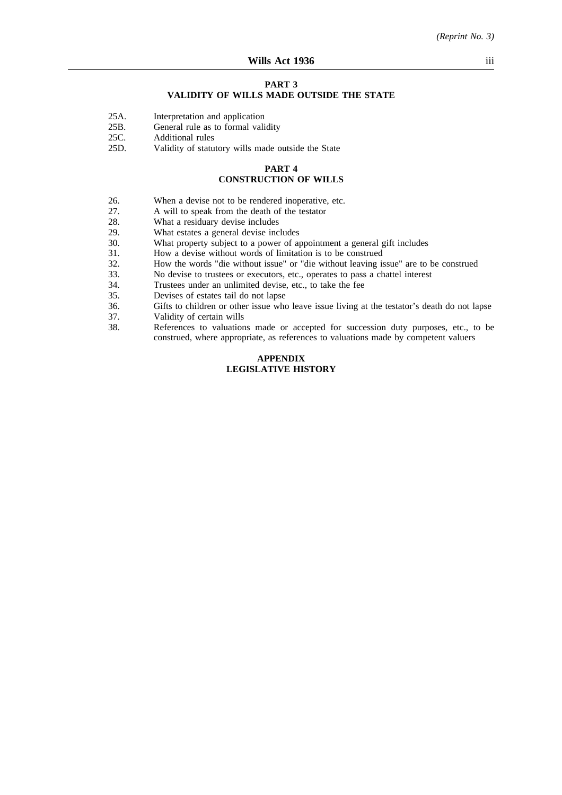#### **PART 3**

## **VALIDITY OF WILLS MADE OUTSIDE THE STATE**

- 25A. Interpretation and application
- 25B. General rule as to formal validity
- 
- 25C. Additional rules<br>25D. Validity of statu Validity of statutory wills made outside the State

#### **PART 4 CONSTRUCTION OF WILLS**

- 26. When a devise not to be rendered inoperative, etc.<br>27. A will to speak from the death of the testator
- 27. A will to speak from the death of the testator 28. What a residuary devise includes
- 28. What a residuary devise includes<br>29. What estates a general devise incl
- 29. What estates a general devise includes<br>30. What property subject to a power of a
- 30. What property subject to a power of appointment a general gift includes 31. How a devise without words of limitation is to be construed
- 31. How a devise without words of limitation is to be construed<br>32. How the words "die without issue" or "die without leaving is
- 32. How the words "die without issue" or "die without leaving issue" are to be construed 33. No devise to trustees or executors, etc., operates to pass a chattel interest
- 33. No devise to trustees or executors, etc., operates to pass a chattel interest
- 34. Trustees under an unlimited devise, etc., to take the fee<br>35. Devises of estates tail do not lanse
- 35. Devises of estates tail do not lapse<br>36. Gifts to children or other issue who
- 36. Gifts to children or other issue who leave issue living at the testator's death do not lapse
- 37. Validity of certain wills<br>38. References to valuation
- References to valuations made or accepted for succession duty purposes, etc., to be construed, where appropriate, as references to valuations made by competent valuers

## **APPENDIX LEGISLATIVE HISTORY**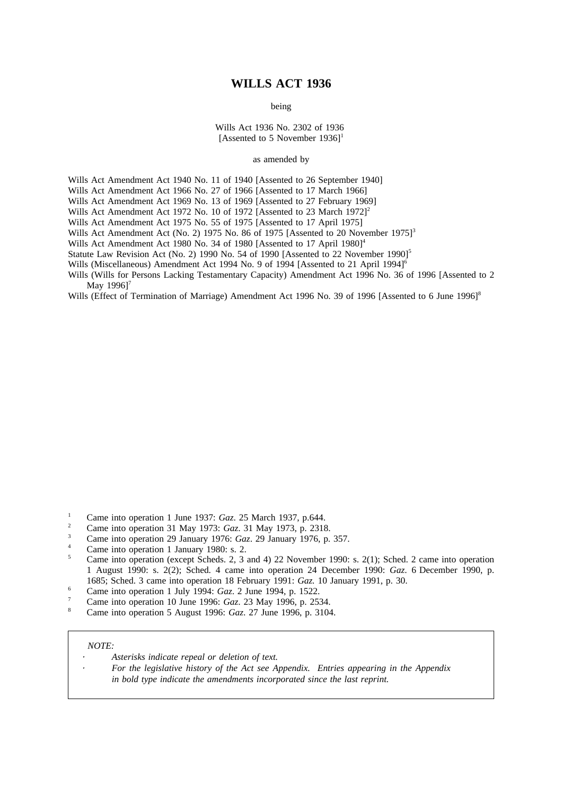## **WILLS ACT 1936**

being

Wills Act 1936 No. 2302 of 1936 [Assented to 5 November  $1936$ ]<sup>1</sup>

as amended by

Wills Act Amendment Act 1940 No. 11 of 1940 [Assented to 26 September 1940]

Wills Act Amendment Act 1966 No. 27 of 1966 [Assented to 17 March 1966]

Wills Act Amendment Act 1969 No. 13 of 1969 [Assented to 27 February 1969]

Wills Act Amendment Act 1972 No. 10 of 1972 [Assented to 23 March 1972]<sup>2</sup>

Wills Act Amendment Act 1975 No. 55 of 1975 [Assented to 17 April 1975]

Wills Act Amendment Act (No. 2) 1975 No. 86 of 1975 [Assented to 20 November 1975]<sup>3</sup>

Wills Act Amendment Act 1980 No. 34 of 1980 [Assented to 17 April 1980]<sup>4</sup>

Statute Law Revision Act (No. 2) 1990 No. 54 of 1990 [Assented to 22 November 1990]<sup>5</sup>

Wills (Miscellaneous) Amendment Act 1994 No. 9 of 1994 [Assented to 21 April 1994]<sup>6</sup>

Wills (Wills for Persons Lacking Testamentary Capacity) Amendment Act 1996 No. 36 of 1996 [Assented to 2 May 19961<sup>7</sup>

Wills (Effect of Termination of Marriage) Amendment Act 1996 No. 39 of 1996 [Assented to 6 June 1996]<sup>8</sup>

- <sup>1</sup> Came into operation 1 June 1937: *Gaz*. 25 March 1937, p.644.
- <sup>2</sup> Came into operation 31 May 1973: *Gaz*. 31 May 1973, p. 2318.
- <sup>3</sup> Came into operation 29 January 1976: *Gaz*. 29 January 1976, p. 357.
- <sup>4</sup> Came into operation 1 January 1980: s. 2.
- <sup>5</sup> Came into operation (except Scheds. 2, 3 and 4) 22 November 1990: s. 2(1); Sched. 2 came into operation 1 August 1990: s. 2(2); Sched. 4 came into operation 24 December 1990: *Gaz*. 6 December 1990, p. 1685; Sched. 3 came into operation 18 February 1991: *Gaz.* 10 January 1991, p. 30.
- <sup>6</sup> Came into operation 1 July 1994: *Gaz*. 2 June 1994, p. 1522.
- <sup>7</sup> Came into operation 10 June 1996: *Gaz*. 23 May 1996, p. 2534.
- <sup>8</sup> Came into operation 5 August 1996: *Gaz*. 27 June 1996, p. 3104.

#### *NOTE:*

- *Asterisks indicate repeal or deletion of text.*
	- *For the legislative history of the Act see Appendix. Entries appearing in the Appendix in bold type indicate the amendments incorporated since the last reprint.*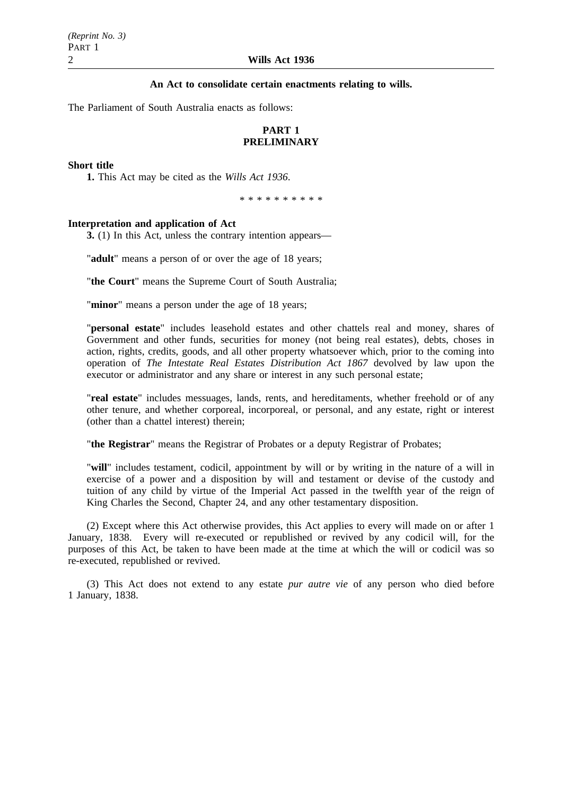## **An Act to consolidate certain enactments relating to wills.**

The Parliament of South Australia enacts as follows:

## **PART 1 PRELIMINARY**

## **Short title**

**1.** This Act may be cited as the *Wills Act 1936*.

\*\*\*\*\*\*\*\*\*\*

## **Interpretation and application of Act**

**3.** (1) In this Act, unless the contrary intention appears—

"**adult**" means a person of or over the age of 18 years;

"**the Court**" means the Supreme Court of South Australia;

"**minor**" means a person under the age of 18 years;

"**personal estate**" includes leasehold estates and other chattels real and money, shares of Government and other funds, securities for money (not being real estates), debts, choses in action, rights, credits, goods, and all other property whatsoever which, prior to the coming into operation of *The Intestate Real Estates Distribution Act 1867* devolved by law upon the executor or administrator and any share or interest in any such personal estate;

"**real estate**" includes messuages, lands, rents, and hereditaments, whether freehold or of any other tenure, and whether corporeal, incorporeal, or personal, and any estate, right or interest (other than a chattel interest) therein;

"**the Registrar**" means the Registrar of Probates or a deputy Registrar of Probates;

"**will**" includes testament, codicil, appointment by will or by writing in the nature of a will in exercise of a power and a disposition by will and testament or devise of the custody and tuition of any child by virtue of the Imperial Act passed in the twelfth year of the reign of King Charles the Second, Chapter 24, and any other testamentary disposition.

(2) Except where this Act otherwise provides, this Act applies to every will made on or after 1 January, 1838. Every will re-executed or republished or revived by any codicil will, for the purposes of this Act, be taken to have been made at the time at which the will or codicil was so re-executed, republished or revived.

(3) This Act does not extend to any estate *pur autre vie* of any person who died before 1 January, 1838.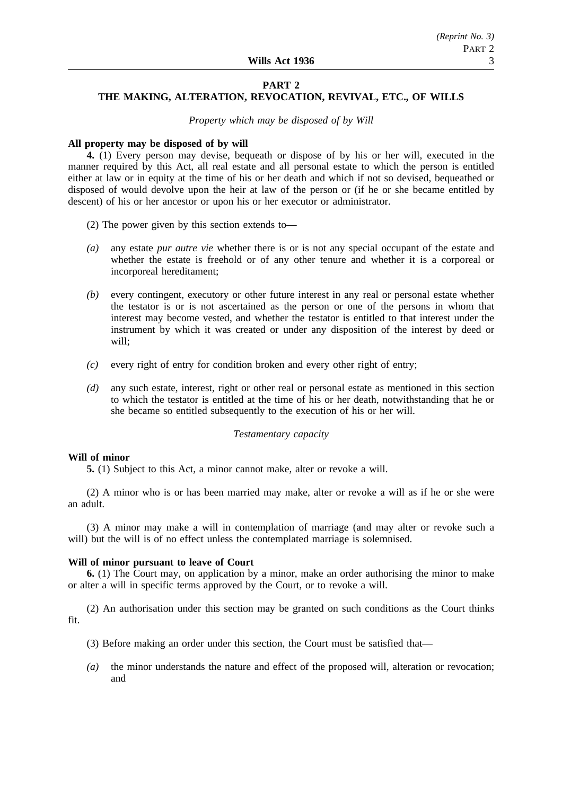## **PART 2**

## **THE MAKING, ALTERATION, REVOCATION, REVIVAL, ETC., OF WILLS**

*Property which may be disposed of by Will*

#### **All property may be disposed of by will**

**4.** (1) Every person may devise, bequeath or dispose of by his or her will, executed in the manner required by this Act, all real estate and all personal estate to which the person is entitled either at law or in equity at the time of his or her death and which if not so devised, bequeathed or disposed of would devolve upon the heir at law of the person or (if he or she became entitled by descent) of his or her ancestor or upon his or her executor or administrator.

- (2) The power given by this section extends to—
- *(a)* any estate *pur autre vie* whether there is or is not any special occupant of the estate and whether the estate is freehold or of any other tenure and whether it is a corporeal or incorporeal hereditament;
- *(b)* every contingent, executory or other future interest in any real or personal estate whether the testator is or is not ascertained as the person or one of the persons in whom that interest may become vested, and whether the testator is entitled to that interest under the instrument by which it was created or under any disposition of the interest by deed or will;
- *(c)* every right of entry for condition broken and every other right of entry;
- *(d)* any such estate, interest, right or other real or personal estate as mentioned in this section to which the testator is entitled at the time of his or her death, notwithstanding that he or she became so entitled subsequently to the execution of his or her will.

#### *Testamentary capacity*

#### **Will of minor**

**5.** (1) Subject to this Act, a minor cannot make, alter or revoke a will.

(2) A minor who is or has been married may make, alter or revoke a will as if he or she were an adult.

(3) A minor may make a will in contemplation of marriage (and may alter or revoke such a will) but the will is of no effect unless the contemplated marriage is solemnised.

## **Will of minor pursuant to leave of Court**

**6.** (1) The Court may, on application by a minor, make an order authorising the minor to make or alter a will in specific terms approved by the Court, or to revoke a will.

(2) An authorisation under this section may be granted on such conditions as the Court thinks fit.

- (3) Before making an order under this section, the Court must be satisfied that—
- *(a)* the minor understands the nature and effect of the proposed will, alteration or revocation; and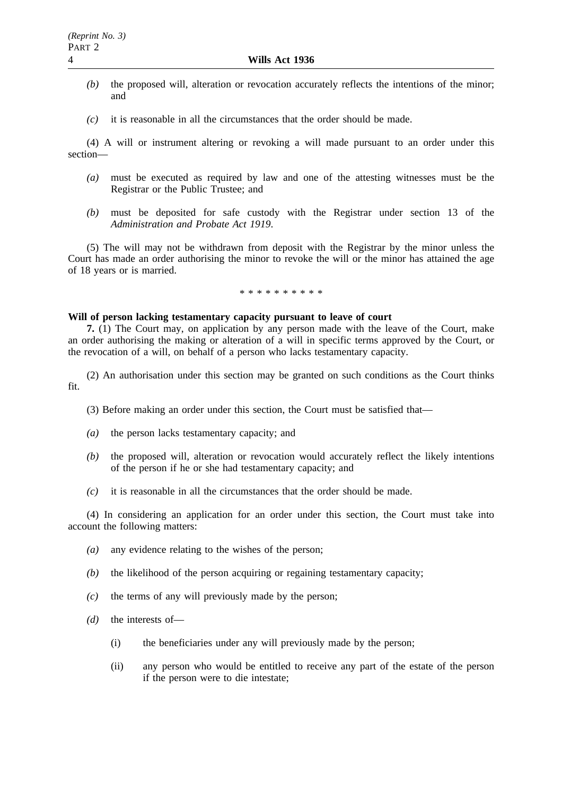- *(b)* the proposed will, alteration or revocation accurately reflects the intentions of the minor; and
- *(c)* it is reasonable in all the circumstances that the order should be made.

(4) A will or instrument altering or revoking a will made pursuant to an order under this section—

- *(a)* must be executed as required by law and one of the attesting witnesses must be the Registrar or the Public Trustee; and
- *(b)* must be deposited for safe custody with the Registrar under section 13 of the *Administration and Probate Act 1919*.

(5) The will may not be withdrawn from deposit with the Registrar by the minor unless the Court has made an order authorising the minor to revoke the will or the minor has attained the age of 18 years or is married.

#### \*\*\*\*\*\*\*\*\*\*

#### **Will of person lacking testamentary capacity pursuant to leave of court**

**7.** (1) The Court may, on application by any person made with the leave of the Court, make an order authorising the making or alteration of a will in specific terms approved by the Court, or the revocation of a will, on behalf of a person who lacks testamentary capacity.

(2) An authorisation under this section may be granted on such conditions as the Court thinks fit.

- (3) Before making an order under this section, the Court must be satisfied that—
- *(a)* the person lacks testamentary capacity; and
- *(b)* the proposed will, alteration or revocation would accurately reflect the likely intentions of the person if he or she had testamentary capacity; and
- *(c)* it is reasonable in all the circumstances that the order should be made.

(4) In considering an application for an order under this section, the Court must take into account the following matters:

- *(a)* any evidence relating to the wishes of the person;
- *(b)* the likelihood of the person acquiring or regaining testamentary capacity;
- *(c)* the terms of any will previously made by the person;
- *(d)* the interests of—
	- (i) the beneficiaries under any will previously made by the person;
	- (ii) any person who would be entitled to receive any part of the estate of the person if the person were to die intestate;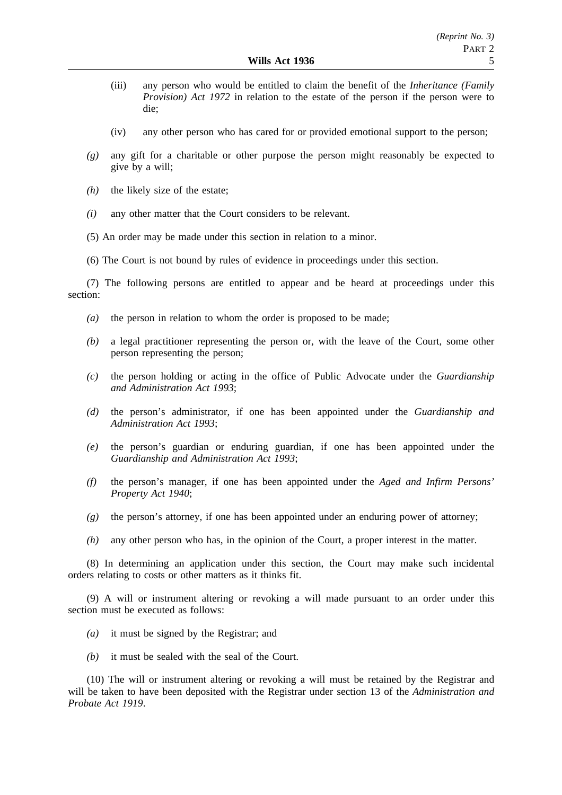- (iii) any person who would be entitled to claim the benefit of the *Inheritance (Family Provision) Act 1972* in relation to the estate of the person if the person were to die;
- (iv) any other person who has cared for or provided emotional support to the person;
- *(g)* any gift for a charitable or other purpose the person might reasonably be expected to give by a will;
- *(h)* the likely size of the estate;
- *(i)* any other matter that the Court considers to be relevant.
- (5) An order may be made under this section in relation to a minor.
- (6) The Court is not bound by rules of evidence in proceedings under this section.

(7) The following persons are entitled to appear and be heard at proceedings under this section:

- *(a)* the person in relation to whom the order is proposed to be made;
- *(b)* a legal practitioner representing the person or, with the leave of the Court, some other person representing the person;
- *(c)* the person holding or acting in the office of Public Advocate under the *Guardianship and Administration Act 1993*;
- *(d)* the person's administrator, if one has been appointed under the *Guardianship and Administration Act 1993*;
- *(e)* the person's guardian or enduring guardian, if one has been appointed under the *Guardianship and Administration Act 1993*;
- *(f)* the person's manager, if one has been appointed under the *Aged and Infirm Persons' Property Act 1940*;
- *(g)* the person's attorney, if one has been appointed under an enduring power of attorney;
- *(h)* any other person who has, in the opinion of the Court, a proper interest in the matter.

(8) In determining an application under this section, the Court may make such incidental orders relating to costs or other matters as it thinks fit.

(9) A will or instrument altering or revoking a will made pursuant to an order under this section must be executed as follows:

- *(a)* it must be signed by the Registrar; and
- *(b)* it must be sealed with the seal of the Court.

(10) The will or instrument altering or revoking a will must be retained by the Registrar and will be taken to have been deposited with the Registrar under section 13 of the *Administration and Probate Act 1919*.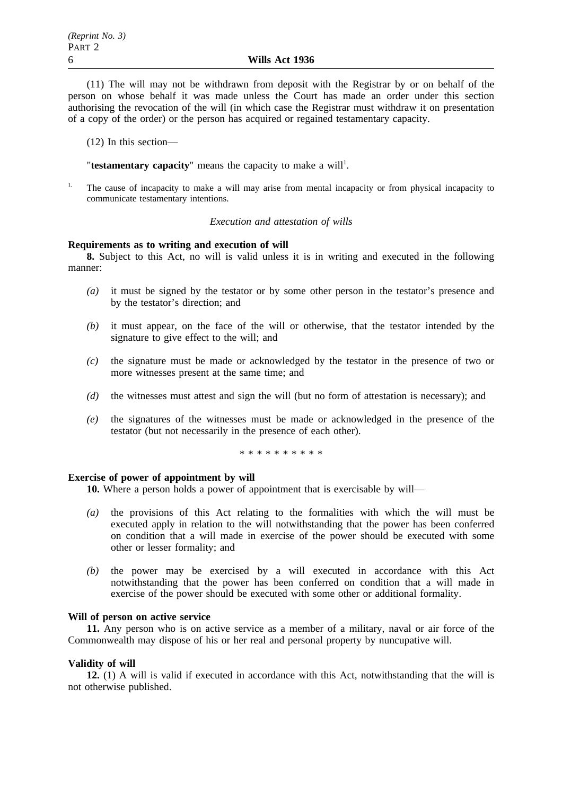(11) The will may not be withdrawn from deposit with the Registrar by or on behalf of the person on whose behalf it was made unless the Court has made an order under this section authorising the revocation of the will (in which case the Registrar must withdraw it on presentation of a copy of the order) or the person has acquired or regained testamentary capacity.

(12) In this section—

"testamentary capacity" means the capacity to make a will<sup>1</sup>.

1. The cause of incapacity to make a will may arise from mental incapacity or from physical incapacity to communicate testamentary intentions.

#### *Execution and attestation of wills*

## **Requirements as to writing and execution of will**

**8.** Subject to this Act, no will is valid unless it is in writing and executed in the following manner:

- *(a)* it must be signed by the testator or by some other person in the testator's presence and by the testator's direction; and
- *(b)* it must appear, on the face of the will or otherwise, that the testator intended by the signature to give effect to the will; and
- *(c)* the signature must be made or acknowledged by the testator in the presence of two or more witnesses present at the same time; and
- *(d)* the witnesses must attest and sign the will (but no form of attestation is necessary); and
- *(e)* the signatures of the witnesses must be made or acknowledged in the presence of the testator (but not necessarily in the presence of each other).

\*\*\*\*\*\*\*\*\*\*

#### **Exercise of power of appointment by will**

**10.** Where a person holds a power of appointment that is exercisable by will—

- *(a)* the provisions of this Act relating to the formalities with which the will must be executed apply in relation to the will notwithstanding that the power has been conferred on condition that a will made in exercise of the power should be executed with some other or lesser formality; and
- *(b)* the power may be exercised by a will executed in accordance with this Act notwithstanding that the power has been conferred on condition that a will made in exercise of the power should be executed with some other or additional formality.

## **Will of person on active service**

**11.** Any person who is on active service as a member of a military, naval or air force of the Commonwealth may dispose of his or her real and personal property by nuncupative will.

## **Validity of will**

**12.** (1) A will is valid if executed in accordance with this Act, notwithstanding that the will is not otherwise published.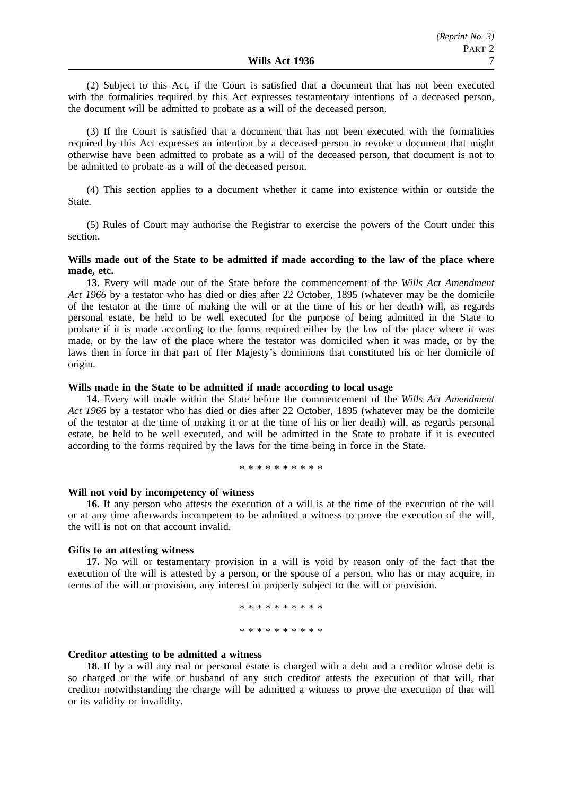(2) Subject to this Act, if the Court is satisfied that a document that has not been executed with the formalities required by this Act expresses testamentary intentions of a deceased person, the document will be admitted to probate as a will of the deceased person.

(3) If the Court is satisfied that a document that has not been executed with the formalities required by this Act expresses an intention by a deceased person to revoke a document that might otherwise have been admitted to probate as a will of the deceased person, that document is not to be admitted to probate as a will of the deceased person.

(4) This section applies to a document whether it came into existence within or outside the State.

(5) Rules of Court may authorise the Registrar to exercise the powers of the Court under this section.

## **Wills made out of the State to be admitted if made according to the law of the place where made, etc.**

**13.** Every will made out of the State before the commencement of the *Wills Act Amendment Act 1966* by a testator who has died or dies after 22 October, 1895 (whatever may be the domicile of the testator at the time of making the will or at the time of his or her death) will, as regards personal estate, be held to be well executed for the purpose of being admitted in the State to probate if it is made according to the forms required either by the law of the place where it was made, or by the law of the place where the testator was domiciled when it was made, or by the laws then in force in that part of Her Majesty's dominions that constituted his or her domicile of origin.

## **Wills made in the State to be admitted if made according to local usage**

**14.** Every will made within the State before the commencement of the *Wills Act Amendment Act 1966* by a testator who has died or dies after 22 October, 1895 (whatever may be the domicile of the testator at the time of making it or at the time of his or her death) will, as regards personal estate, be held to be well executed, and will be admitted in the State to probate if it is executed according to the forms required by the laws for the time being in force in the State.

\*\*\*\*\*\*\*\*\*\*

#### **Will not void by incompetency of witness**

**16.** If any person who attests the execution of a will is at the time of the execution of the will or at any time afterwards incompetent to be admitted a witness to prove the execution of the will, the will is not on that account invalid.

#### **Gifts to an attesting witness**

**17.** No will or testamentary provision in a will is void by reason only of the fact that the execution of the will is attested by a person, or the spouse of a person, who has or may acquire, in terms of the will or provision, any interest in property subject to the will or provision.

> \*\*\*\*\*\*\*\*\*\* \*\*\*\*\*\*\*\*\*\*

## **Creditor attesting to be admitted a witness**

**18.** If by a will any real or personal estate is charged with a debt and a creditor whose debt is so charged or the wife or husband of any such creditor attests the execution of that will, that creditor notwithstanding the charge will be admitted a witness to prove the execution of that will or its validity or invalidity.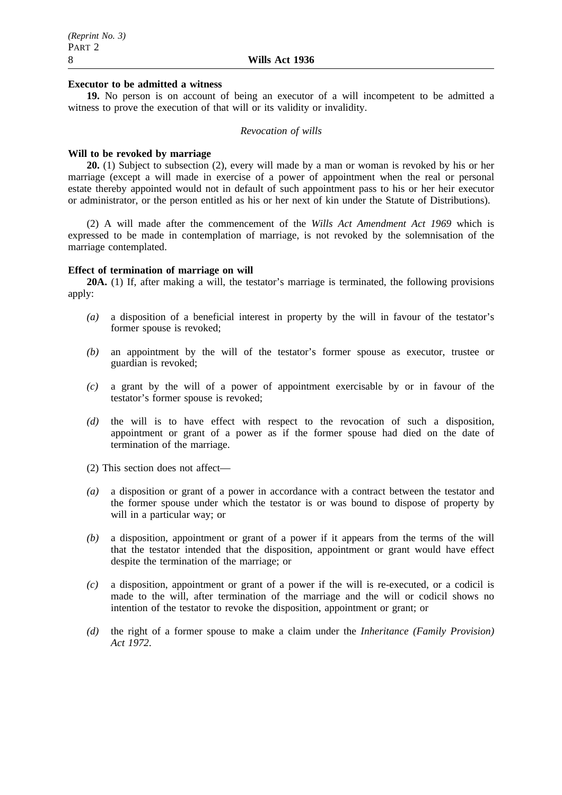#### **Executor to be admitted a witness**

**19.** No person is on account of being an executor of a will incompetent to be admitted a witness to prove the execution of that will or its validity or invalidity.

#### *Revocation of wills*

## **Will to be revoked by marriage**

**20.** (1) Subject to subsection (2), every will made by a man or woman is revoked by his or her marriage (except a will made in exercise of a power of appointment when the real or personal estate thereby appointed would not in default of such appointment pass to his or her heir executor or administrator, or the person entitled as his or her next of kin under the Statute of Distributions).

(2) A will made after the commencement of the *Wills Act Amendment Act 1969* which is expressed to be made in contemplation of marriage, is not revoked by the solemnisation of the marriage contemplated.

#### **Effect of termination of marriage on will**

**20A.** (1) If, after making a will, the testator's marriage is terminated, the following provisions apply:

- *(a)* a disposition of a beneficial interest in property by the will in favour of the testator's former spouse is revoked;
- *(b)* an appointment by the will of the testator's former spouse as executor, trustee or guardian is revoked;
- *(c)* a grant by the will of a power of appointment exercisable by or in favour of the testator's former spouse is revoked;
- *(d)* the will is to have effect with respect to the revocation of such a disposition, appointment or grant of a power as if the former spouse had died on the date of termination of the marriage.
- (2) This section does not affect—
- *(a)* a disposition or grant of a power in accordance with a contract between the testator and the former spouse under which the testator is or was bound to dispose of property by will in a particular way; or
- *(b)* a disposition, appointment or grant of a power if it appears from the terms of the will that the testator intended that the disposition, appointment or grant would have effect despite the termination of the marriage; or
- *(c)* a disposition, appointment or grant of a power if the will is re-executed, or a codicil is made to the will, after termination of the marriage and the will or codicil shows no intention of the testator to revoke the disposition, appointment or grant; or
- *(d)* the right of a former spouse to make a claim under the *Inheritance (Family Provision) Act 1972*.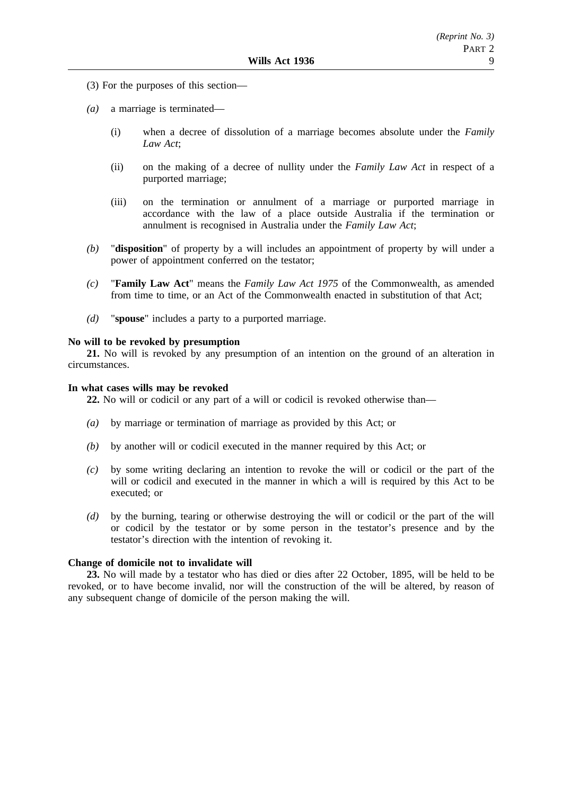- (3) For the purposes of this section—
- *(a)* a marriage is terminated—
	- (i) when a decree of dissolution of a marriage becomes absolute under the *Family Law Act*;
	- (ii) on the making of a decree of nullity under the *Family Law Act* in respect of a purported marriage;
	- (iii) on the termination or annulment of a marriage or purported marriage in accordance with the law of a place outside Australia if the termination or annulment is recognised in Australia under the *Family Law Act*;
- *(b)* "**disposition**" of property by a will includes an appointment of property by will under a power of appointment conferred on the testator;
- *(c)* "**Family Law Act**" means the *Family Law Act 1975* of the Commonwealth, as amended from time to time, or an Act of the Commonwealth enacted in substitution of that Act;
- *(d)* "**spouse**" includes a party to a purported marriage.

#### **No will to be revoked by presumption**

**21.** No will is revoked by any presumption of an intention on the ground of an alteration in circumstances.

## **In what cases wills may be revoked**

**22.** No will or codicil or any part of a will or codicil is revoked otherwise than—

- *(a)* by marriage or termination of marriage as provided by this Act; or
- *(b)* by another will or codicil executed in the manner required by this Act; or
- *(c)* by some writing declaring an intention to revoke the will or codicil or the part of the will or codicil and executed in the manner in which a will is required by this Act to be executed; or
- *(d)* by the burning, tearing or otherwise destroying the will or codicil or the part of the will or codicil by the testator or by some person in the testator's presence and by the testator's direction with the intention of revoking it.

## **Change of domicile not to invalidate will**

**23.** No will made by a testator who has died or dies after 22 October, 1895, will be held to be revoked, or to have become invalid, nor will the construction of the will be altered, by reason of any subsequent change of domicile of the person making the will.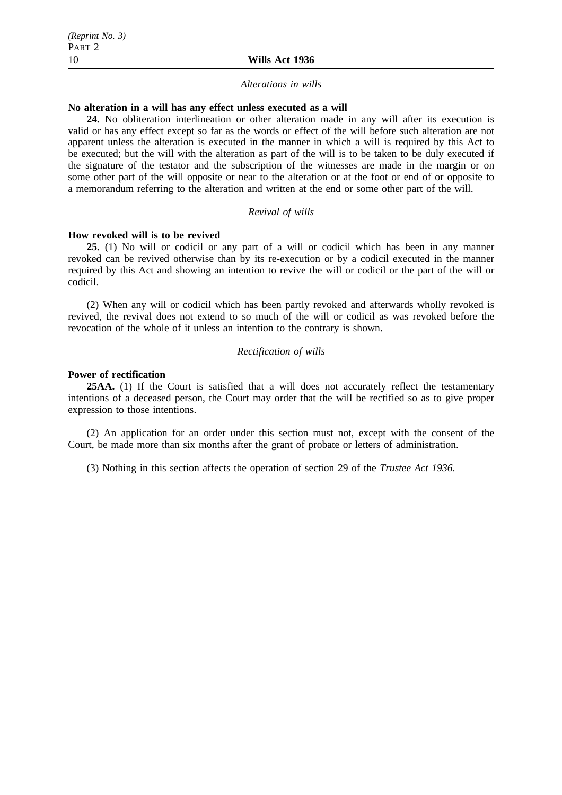#### *Alterations in wills*

## **No alteration in a will has any effect unless executed as a will**

**24.** No obliteration interlineation or other alteration made in any will after its execution is valid or has any effect except so far as the words or effect of the will before such alteration are not apparent unless the alteration is executed in the manner in which a will is required by this Act to be executed; but the will with the alteration as part of the will is to be taken to be duly executed if the signature of the testator and the subscription of the witnesses are made in the margin or on some other part of the will opposite or near to the alteration or at the foot or end of or opposite to a memorandum referring to the alteration and written at the end or some other part of the will.

#### *Revival of wills*

#### **How revoked will is to be revived**

**25.** (1) No will or codicil or any part of a will or codicil which has been in any manner revoked can be revived otherwise than by its re-execution or by a codicil executed in the manner required by this Act and showing an intention to revive the will or codicil or the part of the will or codicil.

(2) When any will or codicil which has been partly revoked and afterwards wholly revoked is revived, the revival does not extend to so much of the will or codicil as was revoked before the revocation of the whole of it unless an intention to the contrary is shown.

## *Rectification of wills*

#### **Power of rectification**

**25AA.** (1) If the Court is satisfied that a will does not accurately reflect the testamentary intentions of a deceased person, the Court may order that the will be rectified so as to give proper expression to those intentions.

(2) An application for an order under this section must not, except with the consent of the Court, be made more than six months after the grant of probate or letters of administration.

(3) Nothing in this section affects the operation of section 29 of the *Trustee Act 1936*.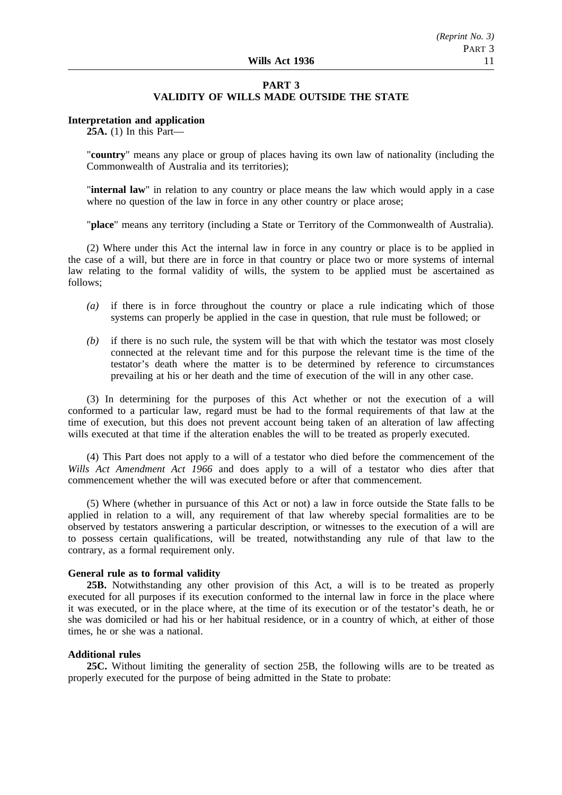## **PART 3 VALIDITY OF WILLS MADE OUTSIDE THE STATE**

#### **Interpretation and application**

**25A.** (1) In this Part—

"**country**" means any place or group of places having its own law of nationality (including the Commonwealth of Australia and its territories);

"**internal law**" in relation to any country or place means the law which would apply in a case where no question of the law in force in any other country or place arose;

"**place**" means any territory (including a State or Territory of the Commonwealth of Australia).

(2) Where under this Act the internal law in force in any country or place is to be applied in the case of a will, but there are in force in that country or place two or more systems of internal law relating to the formal validity of wills, the system to be applied must be ascertained as follows;

- *(a)* if there is in force throughout the country or place a rule indicating which of those systems can properly be applied in the case in question, that rule must be followed; or
- *(b)* if there is no such rule, the system will be that with which the testator was most closely connected at the relevant time and for this purpose the relevant time is the time of the testator's death where the matter is to be determined by reference to circumstances prevailing at his or her death and the time of execution of the will in any other case.

(3) In determining for the purposes of this Act whether or not the execution of a will conformed to a particular law, regard must be had to the formal requirements of that law at the time of execution, but this does not prevent account being taken of an alteration of law affecting wills executed at that time if the alteration enables the will to be treated as properly executed.

(4) This Part does not apply to a will of a testator who died before the commencement of the *Wills Act Amendment Act 1966* and does apply to a will of a testator who dies after that commencement whether the will was executed before or after that commencement.

(5) Where (whether in pursuance of this Act or not) a law in force outside the State falls to be applied in relation to a will, any requirement of that law whereby special formalities are to be observed by testators answering a particular description, or witnesses to the execution of a will are to possess certain qualifications, will be treated, notwithstanding any rule of that law to the contrary, as a formal requirement only.

## **General rule as to formal validity**

**25B.** Notwithstanding any other provision of this Act, a will is to be treated as properly executed for all purposes if its execution conformed to the internal law in force in the place where it was executed, or in the place where, at the time of its execution or of the testator's death, he or she was domiciled or had his or her habitual residence, or in a country of which, at either of those times, he or she was a national.

## **Additional rules**

**25C.** Without limiting the generality of section 25B, the following wills are to be treated as properly executed for the purpose of being admitted in the State to probate: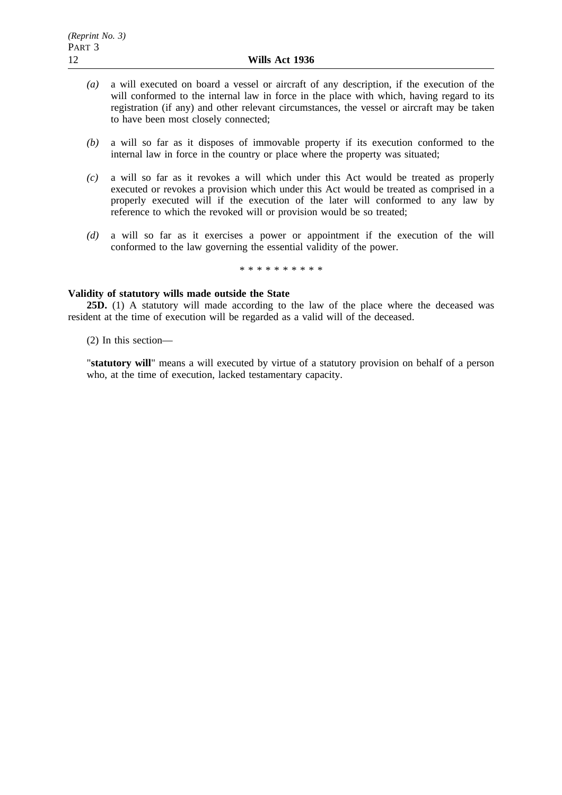- *(a)* a will executed on board a vessel or aircraft of any description, if the execution of the will conformed to the internal law in force in the place with which, having regard to its registration (if any) and other relevant circumstances, the vessel or aircraft may be taken to have been most closely connected;
- *(b)* a will so far as it disposes of immovable property if its execution conformed to the internal law in force in the country or place where the property was situated;
- *(c)* a will so far as it revokes a will which under this Act would be treated as properly executed or revokes a provision which under this Act would be treated as comprised in a properly executed will if the execution of the later will conformed to any law by reference to which the revoked will or provision would be so treated;
- *(d)* a will so far as it exercises a power or appointment if the execution of the will conformed to the law governing the essential validity of the power.

\*\*\*\*\*\*\*\*\*\*

## **Validity of statutory wills made outside the State**

**25D.** (1) A statutory will made according to the law of the place where the deceased was resident at the time of execution will be regarded as a valid will of the deceased.

(2) In this section—

"**statutory will**" means a will executed by virtue of a statutory provision on behalf of a person who, at the time of execution, lacked testamentary capacity.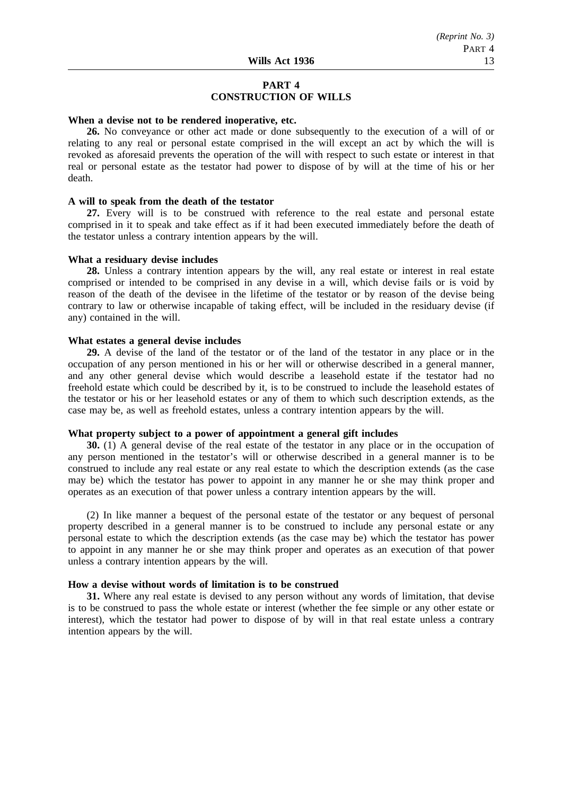## **PART 4 CONSTRUCTION OF WILLS**

#### **When a devise not to be rendered inoperative, etc.**

**26.** No conveyance or other act made or done subsequently to the execution of a will of or relating to any real or personal estate comprised in the will except an act by which the will is revoked as aforesaid prevents the operation of the will with respect to such estate or interest in that real or personal estate as the testator had power to dispose of by will at the time of his or her death.

#### **A will to speak from the death of the testator**

**27.** Every will is to be construed with reference to the real estate and personal estate comprised in it to speak and take effect as if it had been executed immediately before the death of the testator unless a contrary intention appears by the will.

#### **What a residuary devise includes**

**28.** Unless a contrary intention appears by the will, any real estate or interest in real estate comprised or intended to be comprised in any devise in a will, which devise fails or is void by reason of the death of the devisee in the lifetime of the testator or by reason of the devise being contrary to law or otherwise incapable of taking effect, will be included in the residuary devise (if any) contained in the will.

#### **What estates a general devise includes**

**29.** A devise of the land of the testator or of the land of the testator in any place or in the occupation of any person mentioned in his or her will or otherwise described in a general manner, and any other general devise which would describe a leasehold estate if the testator had no freehold estate which could be described by it, is to be construed to include the leasehold estates of the testator or his or her leasehold estates or any of them to which such description extends, as the case may be, as well as freehold estates, unless a contrary intention appears by the will.

#### **What property subject to a power of appointment a general gift includes**

**30.** (1) A general devise of the real estate of the testator in any place or in the occupation of any person mentioned in the testator's will or otherwise described in a general manner is to be construed to include any real estate or any real estate to which the description extends (as the case may be) which the testator has power to appoint in any manner he or she may think proper and operates as an execution of that power unless a contrary intention appears by the will.

(2) In like manner a bequest of the personal estate of the testator or any bequest of personal property described in a general manner is to be construed to include any personal estate or any personal estate to which the description extends (as the case may be) which the testator has power to appoint in any manner he or she may think proper and operates as an execution of that power unless a contrary intention appears by the will.

## **How a devise without words of limitation is to be construed**

**31.** Where any real estate is devised to any person without any words of limitation, that devise is to be construed to pass the whole estate or interest (whether the fee simple or any other estate or interest), which the testator had power to dispose of by will in that real estate unless a contrary intention appears by the will.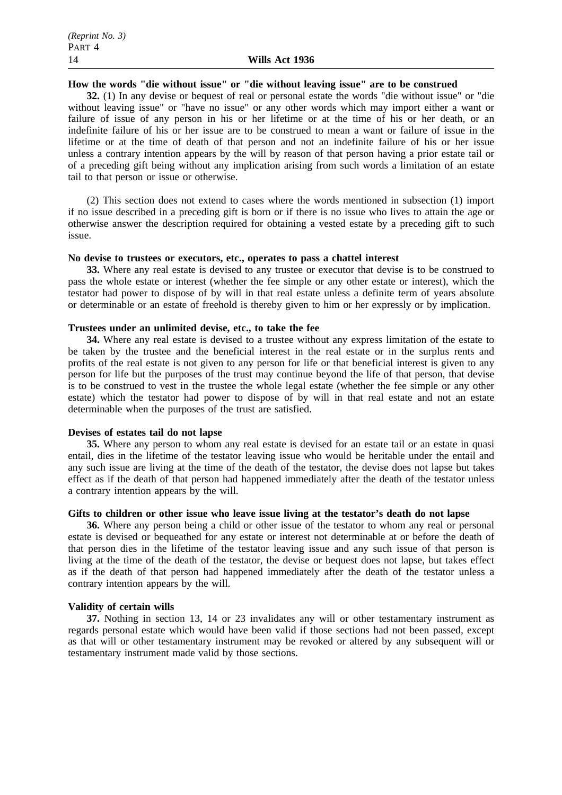## **How the words "die without issue" or "die without leaving issue" are to be construed**

**32.** (1) In any devise or bequest of real or personal estate the words "die without issue" or "die without leaving issue" or "have no issue" or any other words which may import either a want or failure of issue of any person in his or her lifetime or at the time of his or her death, or an indefinite failure of his or her issue are to be construed to mean a want or failure of issue in the lifetime or at the time of death of that person and not an indefinite failure of his or her issue unless a contrary intention appears by the will by reason of that person having a prior estate tail or of a preceding gift being without any implication arising from such words a limitation of an estate tail to that person or issue or otherwise.

(2) This section does not extend to cases where the words mentioned in subsection (1) import if no issue described in a preceding gift is born or if there is no issue who lives to attain the age or otherwise answer the description required for obtaining a vested estate by a preceding gift to such issue.

#### **No devise to trustees or executors, etc., operates to pass a chattel interest**

**33.** Where any real estate is devised to any trustee or executor that devise is to be construed to pass the whole estate or interest (whether the fee simple or any other estate or interest), which the testator had power to dispose of by will in that real estate unless a definite term of years absolute or determinable or an estate of freehold is thereby given to him or her expressly or by implication.

## **Trustees under an unlimited devise, etc., to take the fee**

**34.** Where any real estate is devised to a trustee without any express limitation of the estate to be taken by the trustee and the beneficial interest in the real estate or in the surplus rents and profits of the real estate is not given to any person for life or that beneficial interest is given to any person for life but the purposes of the trust may continue beyond the life of that person, that devise is to be construed to vest in the trustee the whole legal estate (whether the fee simple or any other estate) which the testator had power to dispose of by will in that real estate and not an estate determinable when the purposes of the trust are satisfied.

## **Devises of estates tail do not lapse**

**35.** Where any person to whom any real estate is devised for an estate tail or an estate in quasi entail, dies in the lifetime of the testator leaving issue who would be heritable under the entail and any such issue are living at the time of the death of the testator, the devise does not lapse but takes effect as if the death of that person had happened immediately after the death of the testator unless a contrary intention appears by the will.

## **Gifts to children or other issue who leave issue living at the testator's death do not lapse**

**36.** Where any person being a child or other issue of the testator to whom any real or personal estate is devised or bequeathed for any estate or interest not determinable at or before the death of that person dies in the lifetime of the testator leaving issue and any such issue of that person is living at the time of the death of the testator, the devise or bequest does not lapse, but takes effect as if the death of that person had happened immediately after the death of the testator unless a contrary intention appears by the will.

#### **Validity of certain wills**

**37.** Nothing in section 13, 14 or 23 invalidates any will or other testamentary instrument as regards personal estate which would have been valid if those sections had not been passed, except as that will or other testamentary instrument may be revoked or altered by any subsequent will or testamentary instrument made valid by those sections.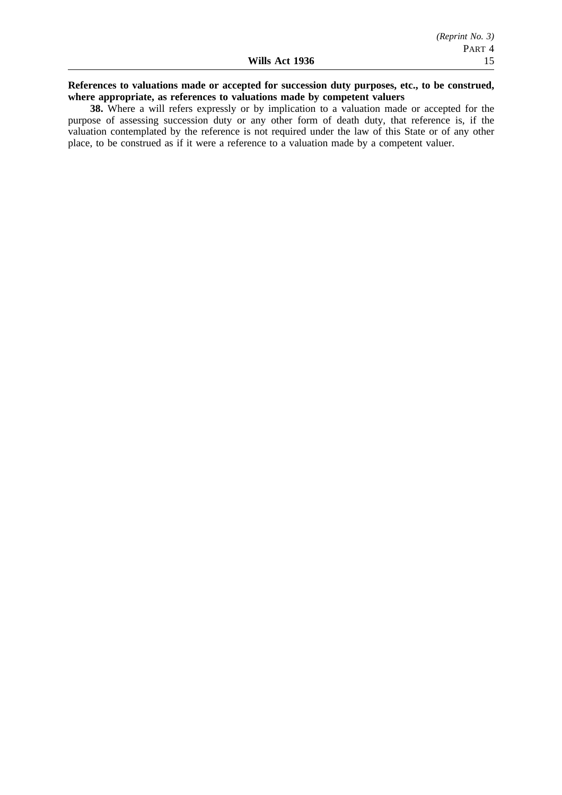## **References to valuations made or accepted for succession duty purposes, etc., to be construed, where appropriate, as references to valuations made by competent valuers**

**38.** Where a will refers expressly or by implication to a valuation made or accepted for the purpose of assessing succession duty or any other form of death duty, that reference is, if the valuation contemplated by the reference is not required under the law of this State or of any other place, to be construed as if it were a reference to a valuation made by a competent valuer.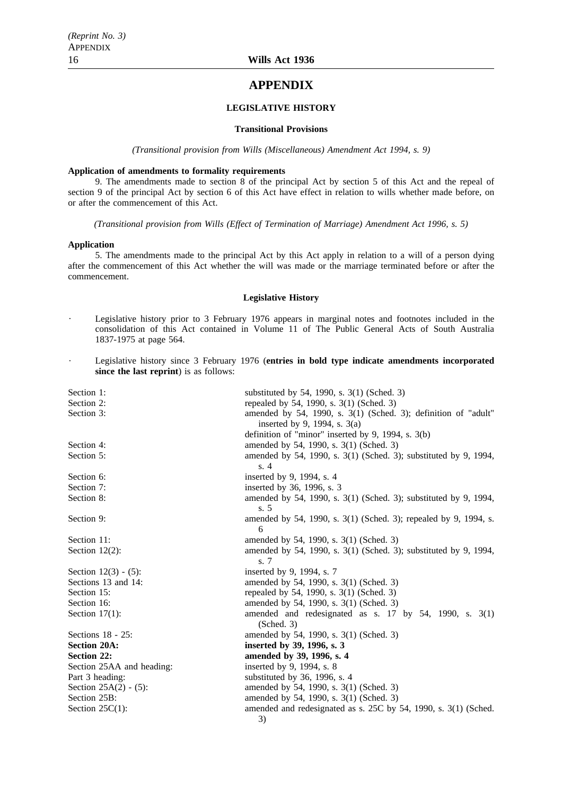## **APPENDIX**

#### **LEGISLATIVE HISTORY**

#### **Transitional Provisions**

*(Transitional provision from Wills (Miscellaneous) Amendment Act 1994, s. 9)*

#### **Application of amendments to formality requirements**

9. The amendments made to section 8 of the principal Act by section 5 of this Act and the repeal of section 9 of the principal Act by section 6 of this Act have effect in relation to wills whether made before, on or after the commencement of this Act.

*(Transitional provision from Wills (Effect of Termination of Marriage) Amendment Act 1996, s. 5)*

#### **Application**

5. The amendments made to the principal Act by this Act apply in relation to a will of a person dying after the commencement of this Act whether the will was made or the marriage terminated before or after the commencement.

#### **Legislative History**

- Legislative history prior to 3 February 1976 appears in marginal notes and footnotes included in the consolidation of this Act contained in Volume 11 of The Public General Acts of South Australia 1837-1975 at page 564.
- Legislative history since 3 February 1976 (**entries in bold type indicate amendments incorporated since the last reprint**) is as follows:

| Section 1:                | substituted by 54, 1990, s. 3(1) (Sched. 3)                                    |
|---------------------------|--------------------------------------------------------------------------------|
| Section 2:                | repealed by 54, 1990, s. 3(1) (Sched. 3)                                       |
| Section 3:                | amended by 54, 1990, s. 3(1) (Sched. 3); definition of "adult"                 |
|                           | inserted by 9, 1994, s. $3(a)$                                                 |
|                           | definition of "minor" inserted by 9, 1994, s. 3(b)                             |
| Section 4:                | amended by 54, 1990, s. 3(1) (Sched. 3)                                        |
| Section 5:                | amended by 54, 1990, s. 3(1) (Sched. 3); substituted by 9, 1994,               |
|                           | s.4                                                                            |
| Section 6:                | inserted by 9, 1994, s. 4                                                      |
| Section 7:                | inserted by 36, 1996, s. 3                                                     |
| Section 8:                | amended by 54, 1990, s. 3(1) (Sched. 3); substituted by 9, 1994,               |
|                           | s.5                                                                            |
| Section 9:                | amended by 54, 1990, s. 3(1) (Sched. 3); repealed by 9, 1994, s.               |
|                           | 6                                                                              |
| Section 11:               | amended by 54, 1990, s. 3(1) (Sched. 3)                                        |
| Section $12(2)$ :         | amended by 54, 1990, s. 3(1) (Sched. 3); substituted by 9, 1994,<br>s. 7       |
| Section $12(3) - (5)$ :   | inserted by 9, 1994, s. 7                                                      |
| Sections 13 and 14:       | amended by 54, 1990, s. 3(1) (Sched. 3)                                        |
| Section 15:               | repealed by 54, 1990, s. 3(1) (Sched. 3)                                       |
| Section 16:               | amended by 54, 1990, s. 3(1) (Sched. 3)                                        |
| Section $17(1)$ :         | amended and redesignated as s. $17$ by $54$ , $1990$ , s. $3(1)$<br>(Sched. 3) |
| Sections $18 - 25$ :      | amended by 54, 1990, s. 3(1) (Sched. 3)                                        |
| <b>Section 20A:</b>       | inserted by 39, 1996, s. 3                                                     |
| <b>Section 22:</b>        | amended by 39, 1996, s. 4                                                      |
| Section 25AA and heading: | inserted by 9, 1994, s. 8                                                      |
| Part 3 heading:           | substituted by 36, 1996, s. 4                                                  |
| Section $25A(2) - (5)$ :  | amended by 54, 1990, s. 3(1) (Sched. 3)                                        |
| Section 25B:              | amended by 54, 1990, s. 3(1) (Sched. 3)                                        |
| Section $25C(1)$ :        | amended and redesignated as s. 25C by 54, 1990, s. 3(1) (Sched.                |
|                           | 3)                                                                             |